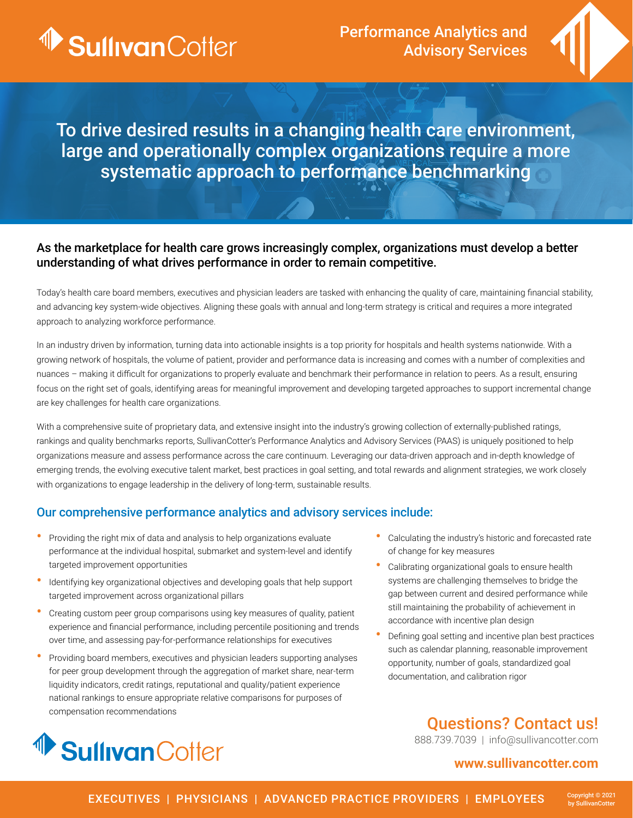

Performance Analytics and Advisory Services



To drive desired results in a changing health care environment, large and operationally complex organizations require a more systematic approach to performance benchmarking

### As the marketplace for health care grows increasingly complex, organizations must develop a better understanding of what drives performance in order to remain competitive.

Today's health care board members, executives and physician leaders are tasked with enhancing the quality of care, maintaining financial stability, and advancing key system-wide objectives. Aligning these goals with annual and long-term strategy is critical and requires a more integrated approach to analyzing workforce performance.

In an industry driven by information, turning data into actionable insights is a top priority for hospitals and health systems nationwide. With a growing network of hospitals, the volume of patient, provider and performance data is increasing and comes with a number of complexities and nuances – making it difficult for organizations to properly evaluate and benchmark their performance in relation to peers. As a result, ensuring focus on the right set of goals, identifying areas for meaningful improvement and developing targeted approaches to support incremental change are key challenges for health care organizations.

With a comprehensive suite of proprietary data, and extensive insight into the industry's growing collection of externally-published ratings, rankings and quality benchmarks reports, SullivanCotter's Performance Analytics and Advisory Services (PAAS) is uniquely positioned to help organizations measure and assess performance across the care continuum. Leveraging our data-driven approach and in-depth knowledge of emerging trends, the evolving executive talent market, best practices in goal setting, and total rewards and alignment strategies, we work closely with organizations to engage leadership in the delivery of long-term, sustainable results.

### Our comprehensive performance analytics and advisory services include:

- Providing the right mix of data and analysis to help organizations evaluate performance at the individual hospital, submarket and system-level and identify targeted improvement opportunities
- Identifying key organizational objectives and developing goals that help support targeted improvement across organizational pillars
- Creating custom peer group comparisons using key measures of quality, patient experience and financial performance, including percentile positioning and trends over time, and assessing pay-for-performance relationships for executives
- Providing board members, executives and physician leaders supporting analyses for peer group development through the aggregation of market share, near-term liquidity indicators, credit ratings, reputational and quality/patient experience national rankings to ensure appropriate relative comparisons for purposes of compensation recommendations



- Calculating the industry's historic and forecasted rate of change for key measures
- Calibrating organizational goals to ensure health systems are challenging themselves to bridge the gap between current and desired performance while still maintaining the probability of achievement in accordance with incentive plan design
- Defining goal setting and incentive plan best practices such as calendar planning, reasonable improvement opportunity, number of goals, standardized goal documentation, and calibration rigor

# Questions? Contact us!

888.739.7039 | info@sullivancotter.com

## **www.sullivancotter.com**